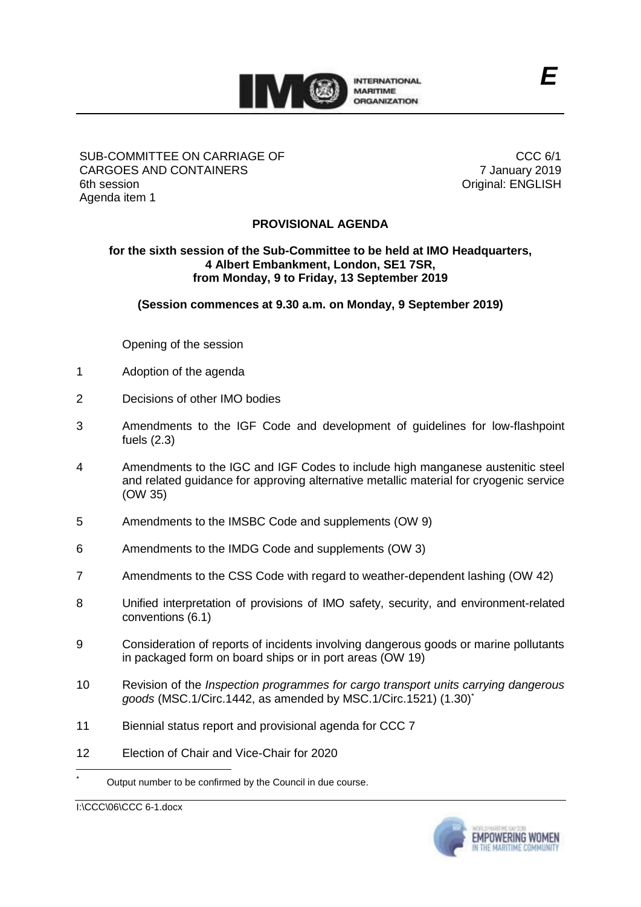

## SUB-COMMITTEE ON CARRIAGE OF CARGOES AND CONTAINERS 6th session Agenda item 1

CCC 6/1 7 January 2019 Original: ENGLISH

## **PROVISIONAL AGENDA**

## **for the sixth session of the Sub-Committee to be held at IMO Headquarters, 4 Albert Embankment, London, SE1 7SR, from Monday, 9 to Friday, 13 September 2019**

**(Session commences at 9.30 a.m. on Monday, 9 September 2019)**

Opening of the session

- 1 Adoption of the agenda
- 2 Decisions of other IMO bodies
- 3 Amendments to the IGF Code and development of guidelines for low-flashpoint fuels (2.3)
- 4 Amendments to the IGC and IGF Codes to include high manganese austenitic steel and related guidance for approving alternative metallic material for cryogenic service (OW 35)
- 5 Amendments to the IMSBC Code and supplements (OW 9)
- 6 Amendments to the IMDG Code and supplements (OW 3)
- 7 Amendments to the CSS Code with regard to weather-dependent lashing (OW 42)
- 8 Unified interpretation of provisions of IMO safety, security, and environment-related conventions (6.1)
- 9 Consideration of reports of incidents involving dangerous goods or marine pollutants in packaged form on board ships or in port areas (OW 19)
- 10 Revision of the *Inspection programmes for cargo transport units carrying dangerous goods* (MSC.1/Circ.1442, as amended by MSC.1/Circ.1521) (1.30)\*
- 11 Biennial status report and provisional agenda for CCC 7
- 12 Election of Chair and Vice-Chair for 2020

I:\CCC\06\CCC 6-1.docx



Output number to be confirmed by the Council in due course.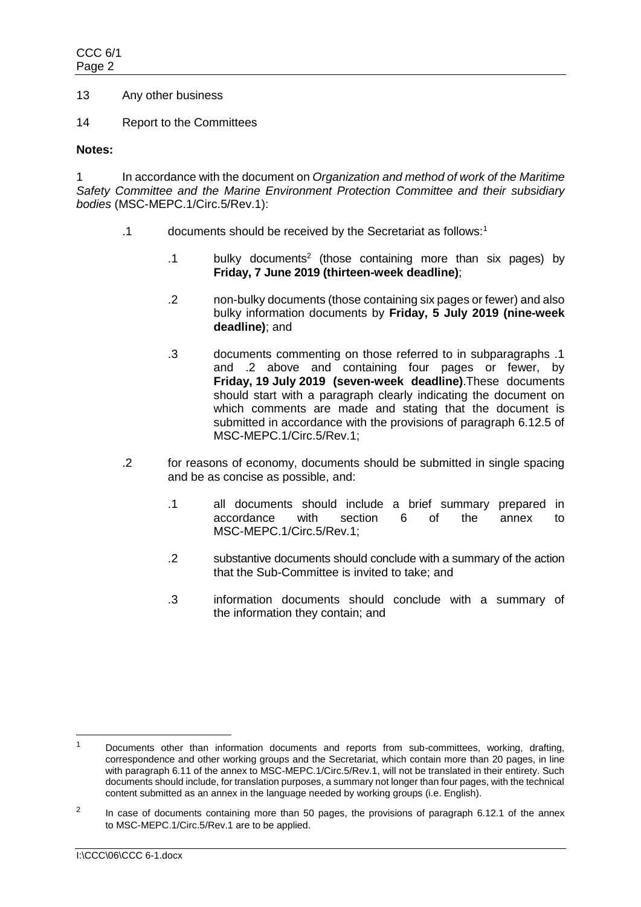- 13 Any other business
- 14 Report to the Committees

## **Notes:**

1 In accordance with the document on *Organization and method of work of the Maritime Safety Committee and the Marine Environment Protection Committee and their subsidiary bodies* (MSC-MEPC.1/Circ.5/Rev.1):

- .1 documents should be received by the Secretariat as follows:<sup>1</sup>
	- .1 bulky documents<sup>2</sup> (those containing more than six pages) by **Friday, 7 June 2019 (thirteen-week deadline)**;
	- .2 non-bulky documents (those containing six pages or fewer) and also bulky information documents by **Friday, 5 July 2019 (nine-week deadline)**; and
	- .3 documents commenting on those referred to in subparagraphs .1 and .2 above and containing four pages or fewer, by **Friday, 19 July 2019 (seven-week deadline)**.These documents should start with a paragraph clearly indicating the document on which comments are made and stating that the document is submitted in accordance with the provisions of paragraph 6.12.5 of MSC-MEPC.1/Circ.5/Rev.1;
- .2 for reasons of economy, documents should be submitted in single spacing and be as concise as possible, and:
	- .1 all documents should include a brief summary prepared in accordance with section 6 of the annex to MSC-MEPC.1/Circ.5/Rev.1;
	- .2 substantive documents should conclude with a summary of the action that the Sub-Committee is invited to take; and
	- .3 information documents should conclude with a summary of the information they contain; and

 $\overline{a}$ 

<sup>1</sup> Documents other than information documents and reports from sub-committees, working, drafting, correspondence and other working groups and the Secretariat, which contain more than 20 pages, in line with paragraph 6.11 of the annex to MSC-MEPC.1/Circ.5/Rev.1, will not be translated in their entirety. Such documents should include, for translation purposes, a summary not longer than four pages, with the technical content submitted as an annex in the language needed by working groups (i.e. English).

<sup>2</sup> In case of documents containing more than 50 pages, the provisions of paragraph 6.12.1 of the annex to MSC-MEPC.1/Circ.5/Rev.1 are to be applied.